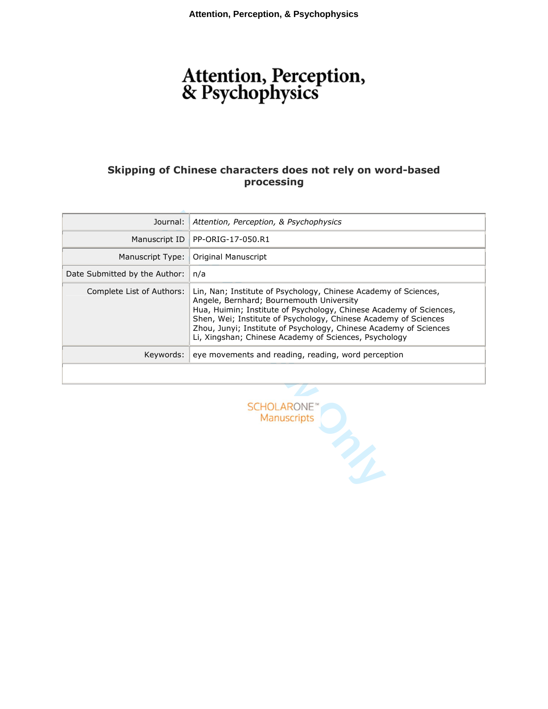# Attention, Perception,<br>& Psychophysics

# **Skipping of Chinese characters does not rely on word-based processing**

| Journal:                                                                                                                                                                                                                                                                                                                                                                                                        | Attention, Perception, & Psychophysics              |  |  |  |  |
|-----------------------------------------------------------------------------------------------------------------------------------------------------------------------------------------------------------------------------------------------------------------------------------------------------------------------------------------------------------------------------------------------------------------|-----------------------------------------------------|--|--|--|--|
| Manuscript ID                                                                                                                                                                                                                                                                                                                                                                                                   | PP-ORIG-17-050.R1                                   |  |  |  |  |
| Manuscript Type:                                                                                                                                                                                                                                                                                                                                                                                                | Original Manuscript                                 |  |  |  |  |
| Date Submitted by the Author:<br>n/a                                                                                                                                                                                                                                                                                                                                                                            |                                                     |  |  |  |  |
| Complete List of Authors:<br>Lin, Nan; Institute of Psychology, Chinese Academy of Sciences,<br>Angele, Bernhard; Bournemouth University<br>Hua, Huimin; Institute of Psychology, Chinese Academy of Sciences,<br>Shen, Wei; Institute of Psychology, Chinese Academy of Sciences<br>Zhou, Junyi; Institute of Psychology, Chinese Academy of Sciences<br>Li, Xingshan; Chinese Academy of Sciences, Psychology |                                                     |  |  |  |  |
| Keywords:                                                                                                                                                                                                                                                                                                                                                                                                       | eye movements and reading, reading, word perception |  |  |  |  |
|                                                                                                                                                                                                                                                                                                                                                                                                                 |                                                     |  |  |  |  |
|                                                                                                                                                                                                                                                                                                                                                                                                                 | <b>SCHOLARONE</b><br><b>Manuscripts</b>             |  |  |  |  |

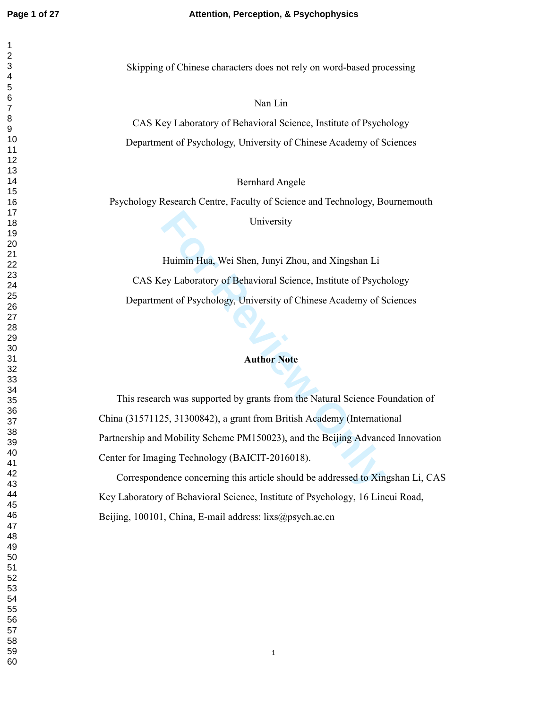#### **Page 1 of 27 Attention, Perception, & Psychophysics**

Skipping of Chinese characters does not rely on word-based processing

Nan Lin

CAS Key Laboratory of Behavioral Science, Institute of Psychology Department of Psychology, University of Chinese Academy of Sciences

Bernhard Angele

Psychology Research Centre, Faculty of Science and Technology, Bournemouth

University

Huimin Hua, Wei Shen, Junyi Zhou, and Xingshan Li CAS Key Laboratory of Behavioral Science, Institute of Psychology Department of Psychology, University of Chinese Academy of Sciences

# **Author Note**

University<br>
Huimin Hua, Wei Shen, Junyi Zhou, and Xingshan Li<br>
ey Laboratory of Behavioral Science, Institute of Psychonet<br>
of Psychology, University of Chinese Academy of S<br>
Author Note<br>
ch was supported by grants from th This research was supported by grants from the Natural Science Foundation of China (31571125, 31300842), a grant from British Academy (International Partnership and Mobility Scheme PM150023), and the Beijing Advanced Innovation Center for Imaging Technology (BAICIT-2016018).

Correspondence concerning this article should be addressed to Xingshan Li, CAS Key Laboratory of Behavioral Science, Institute of Psychology, 16 Lincui Road, Beijing, 100101, China, E-mail address: lixs@psych.ac.cn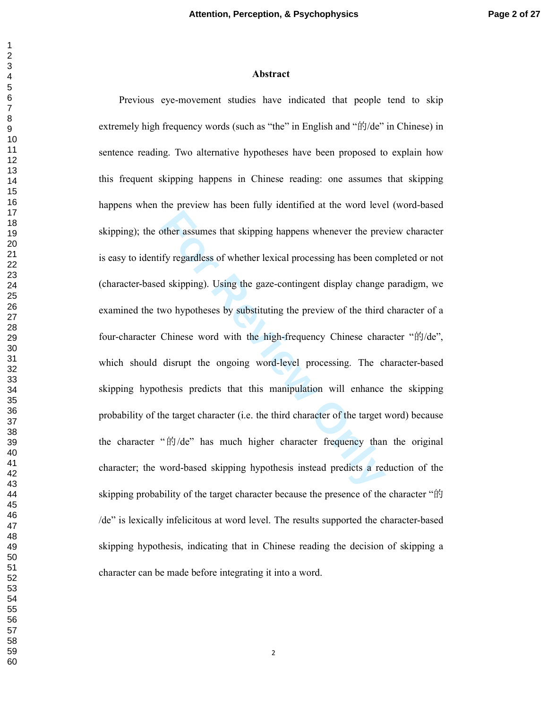#### **Abstract**

**Formular Example 12 Solution** Subsember assumes that skipping happens whenever the preview fy regardless of whether lexical processing has been cond skipping). Using the gaze-contingent display change woo hypotheses by su Previous eye-movement studies have indicated that people tend to skip extremely high frequency words (such as "the" in English and "的/de" in Chinese) in sentence reading. Two alternative hypotheses have been proposed to explain how this frequent skipping happens in Chinese reading: one assumes that skipping happens when the preview has been fully identified at the word level (word-based skipping); the other assumes that skipping happens whenever the preview character is easy to identify regardless of whether lexical processing has been completed or not (character-based skipping). Using the gaze-contingent display change paradigm, we examined the two hypotheses by substituting the preview of the third character of a four-character Chinese word with the high-frequency Chinese character "的/de", which should disrupt the ongoing word-level processing. The character-based skipping hypothesis predicts that this manipulation will enhance the skipping probability of the target character (i.e. the third character of the target word) because the character " 的/de" has much higher character frequency than the original character; the word-based skipping hypothesis instead predicts a reduction of the skipping probability of the target character because the presence of the character " 的 /de" is lexically infelicitous at word level. The results supported the character-based skipping hypothesis, indicating that in Chinese reading the decision of skipping a character can be made before integrating it into a word.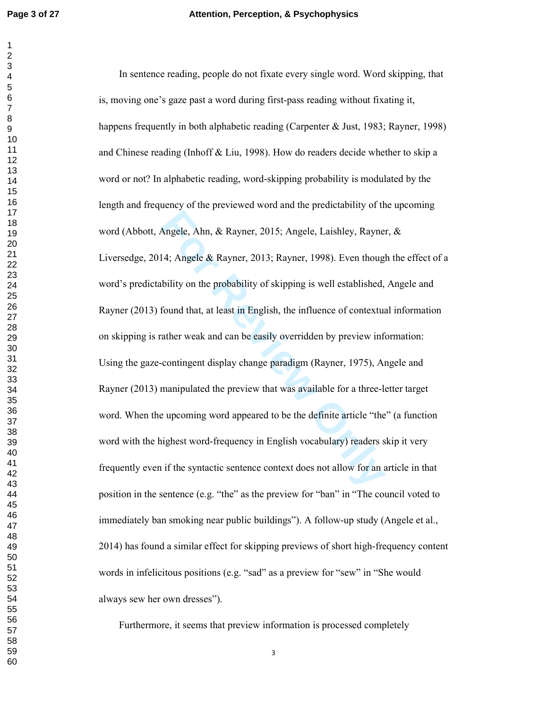Angele, Ahn, & Rayner, 2015; Angele, Laishley, Rayne<br>
4; Angele & Rayner, 2013; Rayner, 1998). Even though<br>
bility on the probability of skipping is well established,<br>
found that, at least in English, the influence of cont In sentence reading, people do not fixate every single word. Word skipping, that is, moving one's gaze past a word during first-pass reading without fixating it, happens frequently in both alphabetic reading (Carpenter & Just, 1983; Rayner, 1998) and Chinese reading (Inhoff & Liu, 1998). How do readers decide whether to skip a word or not? In alphabetic reading, word-skipping probability is modulated by the length and frequency of the previewed word and the predictability of the upcoming word (Abbott, Angele, Ahn, & Rayner, 2015; Angele, Laishley, Rayner, & Liversedge, 2014; Angele & Rayner, 2013; Rayner, 1998). Even though the effect of a word's predictability on the probability of skipping is well established, Angele and Rayner (2013) found that, at least in English, the influence of contextual information on skipping is rather weak and can be easily overridden by preview information: Using the gaze-contingent display change paradigm (Rayner, 1975), Angele and Rayner (2013) manipulated the preview that was available for a three-letter target word. When the upcoming word appeared to be the definite article "the" (a function word with the highest word-frequency in English vocabulary) readers skip it very frequently even if the syntactic sentence context does not allow for an article in that position in the sentence (e.g. "the" as the preview for "ban" in "The council voted to immediately ban smoking near public buildings"). A follow-up study (Angele et al., 2014) has found a similar effect for skipping previews of short high-frequency content words in infelicitous positions (e.g. "sad" as a preview for "sew" in "She would always sew her own dresses").

Furthermore, it seems that preview information is processed completely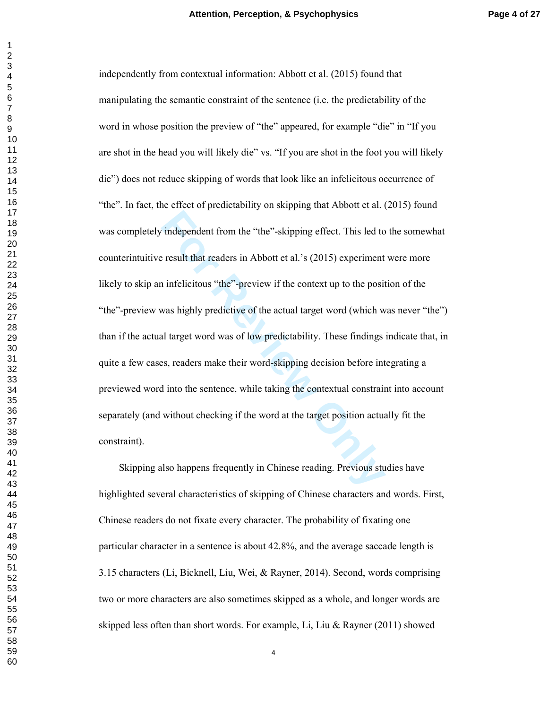**For The Example 11 Text**<br> **For Formulae I** integrals are result that readers in Abbott et al.'s (2015) experiment<br>
infelicitous "the"-preview if the context up to the posit<br>
was highly predictive of the actual target word independently from contextual information: Abbott et al. (2015) found that manipulating the semantic constraint of the sentence (i.e. the predictability of the word in whose position the preview of "the" appeared, for example "die" in "If you are shot in the head you will likely die" vs. "If you are shot in the foot you will likely die") does not reduce skipping of words that look like an infelicitous occurrence of "the". In fact, the effect of predictability on skipping that Abbott et al. (2015) found was completely independent from the "the"-skipping effect. This led to the somewhat counterintuitive result that readers in Abbott et al.'s (2015) experiment were more likely to skip an infelicitous "the"-preview if the context up to the position of the "the"-preview was highly predictive of the actual target word (which was never "the") than if the actual target word was of low predictability. These findings indicate that, in quite a few cases, readers make their word-skipping decision before integrating a previewed word into the sentence, while taking the contextual constraint into account separately (and without checking if the word at the target position actually fit the constraint).

Skipping also happens frequently in Chinese reading. Previous studies have highlighted several characteristics of skipping of Chinese characters and words. First, Chinese readers do not fixate every character. The probability of fixating one particular character in a sentence is about 42.8%, and the average saccade length is 3.15 characters (Li, Bicknell, Liu, Wei, & Rayner, 2014). Second, words comprising two or more characters are also sometimes skipped as a whole, and longer words are skipped less often than short words. For example, Li, Liu & Rayner (2011) showed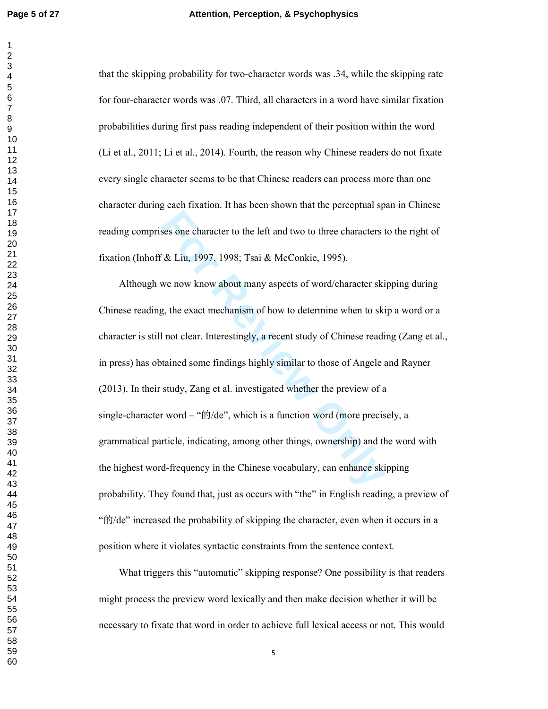that the skipping probability for two-character words was .34, while the skipping rate for four-character words was .07. Third, all characters in a word have similar fixation probabilities during first pass reading independent of their position within the word (Li et al., 2011; Li et al., 2014). Fourth, the reason why Chinese readers do not fixate every single character seems to be that Chinese readers can process more than one character during each fixation. It has been shown that the perceptual span in Chinese reading comprises one character to the left and two to three characters to the right of fixation (Inhoff & Liu, 1997, 1998; Tsai & McConkie, 1995).

Example 12 and two to three characters the left and two to three characters to the left and two to three characters of  $\&$  Liu, 1997, 1998; Tsai  $\&$  McConkie, 1995).<br>We now know about many aspects of word/character skip Although we now know about many aspects of word/character skipping during Chinese reading, the exact mechanism of how to determine when to skip a word or a character is still not clear. Interestingly, a recent study of Chinese reading (Zang et al., in press) has obtained some findings highly similar to those of Angele and Rayner (2013). In their study, Zang et al. investigated whether the preview of a single-character word – " 的/de", which is a function word (more precisely, a grammatical particle, indicating, among other things, ownership) and the word with the highest word-frequency in the Chinese vocabulary, can enhance skipping probability. They found that, just as occurs with "the" in English reading, a preview of "的/de" increased the probability of skipping the character, even when it occurs in a position where it violates syntactic constraints from the sentence context.

What triggers this "automatic" skipping response? One possibility is that readers might process the preview word lexically and then make decision whether it will be necessary to fixate that word in order to achieve full lexical access or not. This would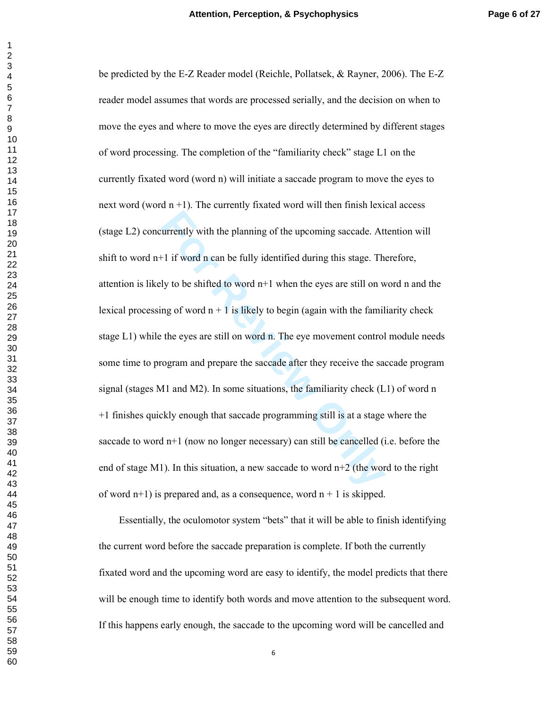urrently with the planning of the upcoming saccade. At<br>
<sup>1</sup> if word n can be fully identified during this stage. The<br>
<sup>1</sup> if word n can be fully identified during this stage. The<br>
<sup>1</sup> is to be shifted to word n+1 when the be predicted by the E-Z Reader model (Reichle, Pollatsek, & Rayner, 2006). The E-Z reader model assumes that words are processed serially, and the decision on when to move the eyes and where to move the eyes are directly determined by different stages of word processing. The completion of the "familiarity check" stage L1 on the currently fixated word (word n) will initiate a saccade program to move the eyes to next word (word  $n + 1$ ). The currently fixated word will then finish lexical access (stage L2) concurrently with the planning of the upcoming saccade. Attention will shift to word n+1 if word n can be fully identified during this stage. Therefore, attention is likely to be shifted to word n+1 when the eyes are still on word n and the lexical processing of word  $n + 1$  is likely to begin (again with the familiarity check stage L1) while the eyes are still on word n. The eye movement control module needs some time to program and prepare the saccade after they receive the saccade program signal (stages M1 and M2). In some situations, the familiarity check (L1) of word n +1 finishes quickly enough that saccade programming still is at a stage where the saccade to word n+1 (now no longer necessary) can still be cancelled (i.e. before the end of stage M1). In this situation, a new saccade to word  $n+2$  (the word to the right of word  $n+1$ ) is prepared and, as a consequence, word  $n+1$  is skipped.

Essentially, the oculomotor system "bets" that it will be able to finish identifying the current word before the saccade preparation is complete. If both the currently fixated word and the upcoming word are easy to identify, the model predicts that there will be enough time to identify both words and move attention to the subsequent word. If this happens early enough, the saccade to the upcoming word will be cancelled and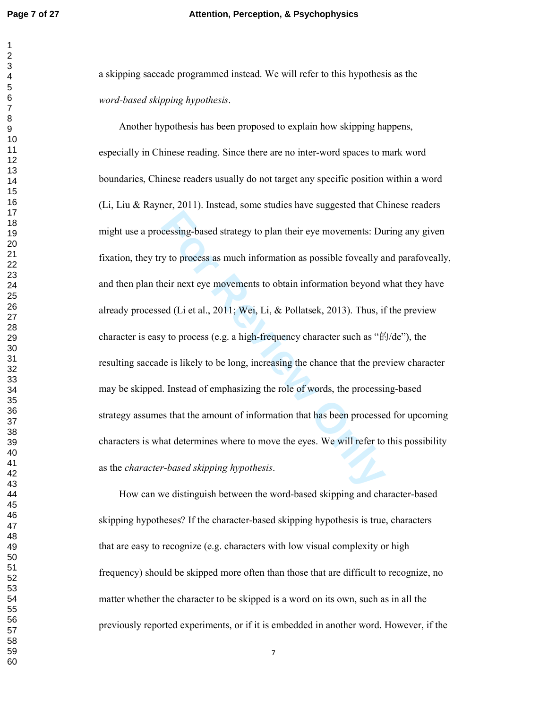a skipping saccade programmed instead. We will refer to this hypothesis as the *word-based skipping hypothesis*.

**For Review Only** Another hypothesis has been proposed to explain how skipping happens, especially in Chinese reading. Since there are no inter-word spaces to mark word boundaries, Chinese readers usually do not target any specific position within a word (Li, Liu & Rayner, 2011). Instead, some studies have suggested that Chinese readers might use a processing-based strategy to plan their eye movements: During any given fixation, they try to process as much information as possible foveally and parafoveally, and then plan their next eye movements to obtain information beyond what they have already processed (Li et al., 2011; Wei, Li, & Pollatsek, 2013). Thus, if the preview character is easy to process (e.g. a high-frequency character such as "的/de"), the resulting saccade is likely to be long, increasing the chance that the preview character may be skipped. Instead of emphasizing the role of words, the processing-based strategy assumes that the amount of information that has been processed for upcoming characters is what determines where to move the eyes. We will refer to this possibility as the *character-based skipping hypothesis*.

How can we distinguish between the word-based skipping and character-based skipping hypotheses? If the character-based skipping hypothesis is true, characters that are easy to recognize (e.g. characters with low visual complexity or high frequency) should be skipped more often than those that are difficult to recognize, no matter whether the character to be skipped is a word on its own, such as in all the previously reported experiments, or if it is embedded in another word. However, if the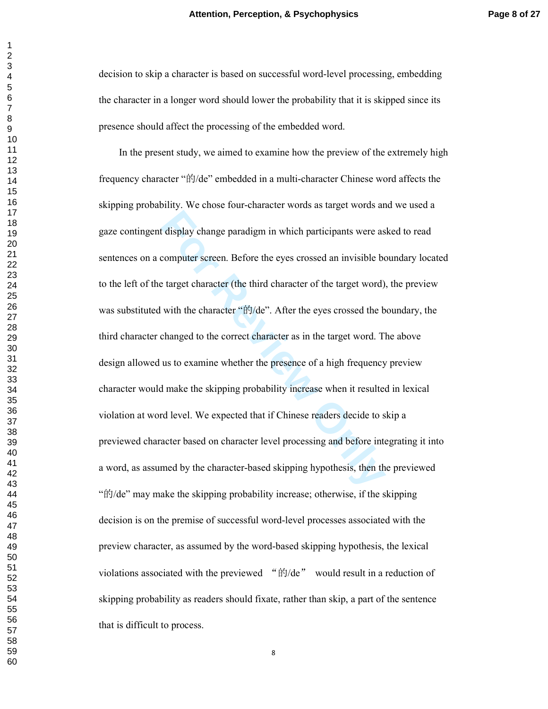decision to skip a character is based on successful word-level processing, embedding the character in a longer word should lower the probability that it is skipped since its presence should affect the processing of the embedded word.

**Example 1** display change paradigm in which participants were as<br>
computer screen. Before the eyes crossed an invisible be<br>
target character (the third character of the target word)<br>
with the character "ffJ/de". After the In the present study, we aimed to examine how the preview of the extremely high frequency character " 的/de" embedded in a multi-character Chinese word affects the skipping probability. We chose four-character words as target words and we used a gaze contingent display change paradigm in which participants were asked to read sentences on a computer screen. Before the eyes crossed an invisible boundary located to the left of the target character (the third character of the target word), the preview was substituted with the character "的/de". After the eyes crossed the boundary, the third character changed to the correct character as in the target word. The above design allowed us to examine whether the presence of a high frequency preview character would make the skipping probability increase when it resulted in lexical violation at word level. We expected that if Chinese readers decide to skip a previewed character based on character level processing and before integrating it into a word, as assumed by the character-based skipping hypothesis, then the previewed<br>"的/de" may make the skipping probability increase; otherwise, if the skipping decision is on the premise of successful word-level processes associated with the preview character, as assumed by the word-based skipping hypothesis, the lexical violations associated with the previewed " $\sharp$ j/de" would result in a reduction of skipping probability as readers should fixate, rather than skip, a part of the sentence that is difficult to process.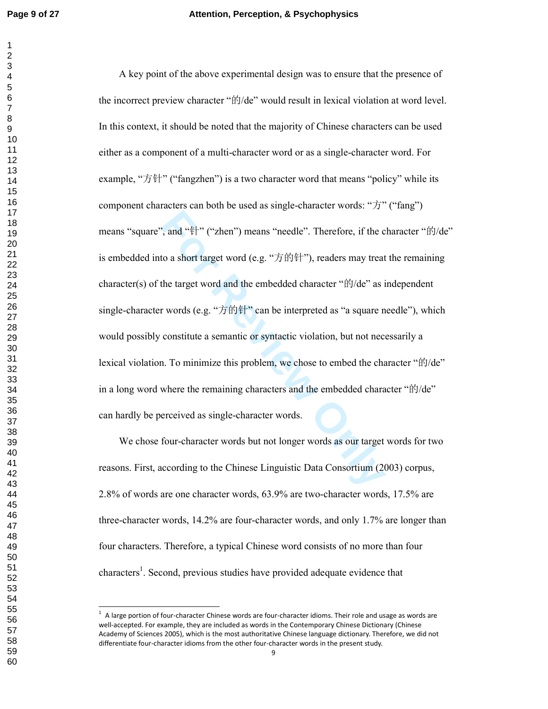<sup>2</sup>, and "<sup>4</sup><sup>#</sup>|" ("zhen") means "needle". Therefore, if the c<br>to a short target word (e.g. " $\overleftrightarrow{J}$  if)<sup>4</sup>|<sup>+</sup>"), readers may treat<br>the target word and the embedded character "if)/de" as i<br>r words (e.g. " $\overleftrightarrow{J}$  if)<sup>4</sup> A key point of the above experimental design was to ensure that the presence of the incorrect preview character " 的/de" would result in lexical violation at word level. In this context, it should be noted that the majority of Chinese characters can be used either as a component of a multi-character word or as a single-character word. For example, "方针" ("fangzhen") is a two character word that means "policy" while its component characters can both be used as single-character words: "方" ("fang") means "square", and "针" ("zhen") means "needle". Therefore, if the character "的/de" is embedded into a short target word (e.g. "方的针"), readers may treat the remaining character(s) of the target word and the embedded character "的/de" as independent single-character words (e.g. "方的针" can be interpreted as "a square needle"), which would possibly constitute a semantic or syntactic violation, but not necessarily a lexical violation. To minimize this problem, we chose to embed the character " 的/de" in a long word where the remaining characters and the embedded character "的/de" can hardly be perceived as single-character words.

We chose four-character words but not longer words as our target words for two reasons. First, according to the Chinese Linguistic Data Consortium (2003) corpus, 2.8% of words are one character words, 63.9% are two-character words, 17.5% are three-character words, 14.2% are four-character words, and only 1.7% are longer than four characters. Therefore, a typical Chinese word consists of no more than four characters<sup>1</sup>. Second, previous studies have provided adequate evidence that

 $\frac{1}{1}$  A large portion of four-character Chinese words are four-character idioms. Their role and usage as words are well-accepted. For example, they are included as words in the Contemporary Chinese Dictionary (Chinese Academy of Sciences 2005), which is the most authoritative Chinese language dictionary. Therefore, we did not differentiate four-character idioms from the other four-character words in the present study.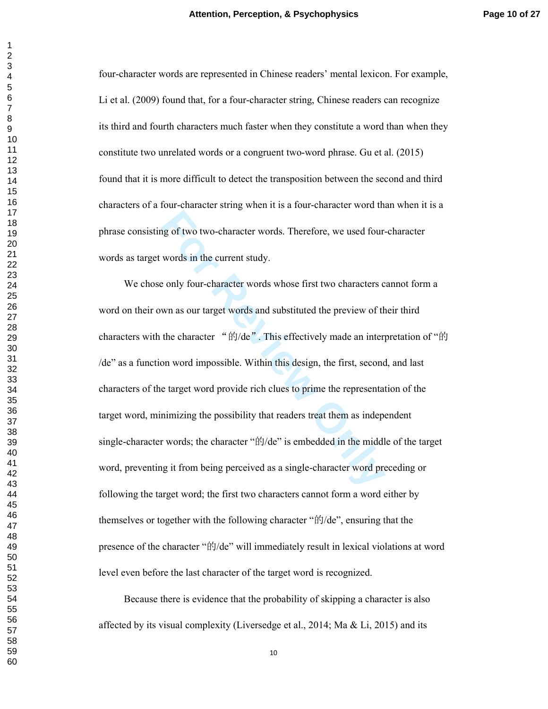four-character words are represented in Chinese readers' mental lexicon. For example, Li et al. (2009) found that, for a four-character string, Chinese readers can recognize its third and fourth characters much faster when they constitute a word than when they constitute two unrelated words or a congruent two-word phrase. Gu et al. (2015) found that it is more difficult to detect the transposition between the second and third characters of a four-character string when it is a four-character word than when it is a phrase consisting of two two-character words. Therefore, we used four-character words as target words in the current study.

**Formular Solution** and the entertainment study.<br> **Formular Solution** and substituted the preview of the character words and substituted the preview of the character " $\frac{f(t)}{d}$ ". This effectively made an interpon word im We chose only four-character words whose first two characters cannot form a word on their own as our target words and substituted the preview of their third characters with the character "的/de". This effectively made an interpretation of "的 /de" as a function word impossible. Within this design, the first, second, and last characters of the target word provide rich clues to prime the representation of the target word, minimizing the possibility that readers treat them as independent single-character words; the character " 的/de" is embedded in the middle of the target word, preventing it from being perceived as a single-character word preceding or following the target word; the first two characters cannot form a word either by themselves or together with the following character " 的/de", ensuring that the presence of the character "的/de" will immediately result in lexical violations at word level even before the last character of the target word is recognized.

Because there is evidence that the probability of skipping a character is also affected by its visual complexity (Liversedge et al., ; Ma & Li,  $2015$ ) and its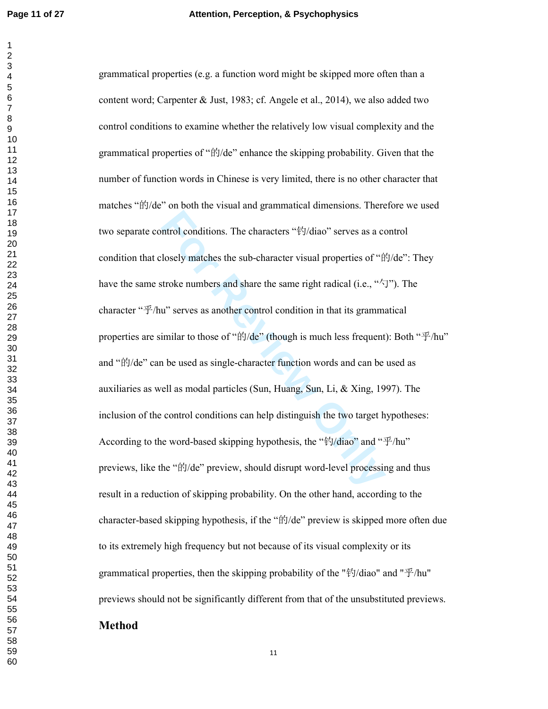ntrol conditions. The characters " $\frac{4}{3}$ /diao" serves as a colosely matches the sub-character visual properties of " $\frac{4}{10}$  to those numbers and share the same right radical (i.e., " $\frac{4}{5}$  u" serves as another co grammatical properties (e.g. a function word might be skipped more often than a content word; Carpenter & Just, 1983; cf. Angele et al., 2014), we also added two control conditions to examine whether the relatively low visual complexity and the grammatical properties of " 的/de" enhance the skipping probability. Given that the number of function words in Chinese is very limited, there is no other character that matches " 的/de" on both the visual and grammatical dimensions. Therefore we used two separate control conditions. The characters " 钓/diao" serves as a control condition that closely matches the sub-character visual properties of "的/de": They have the same stroke numbers and share the same right radical (i.e., " $\sqrt{y}$ "). The character "乎/hu" serves as another control condition in that its grammatical properties are similar to those of "的/de" (though is much less frequent): Both "乎/hu" and " 的/de" can be used as single-character function words and can be used as auxiliaries as well as modal particles (Sun, Huang, Sun, Li, & Xing, 1997). The inclusion of the control conditions can help distinguish the two target hypotheses: According to the word-based skipping hypothesis, the "钓/diao" and "乎/hu" previews, like the "的/de" preview, should disrupt word-level processing and thus result in a reduction of skipping probability. On the other hand, according to the character-based skipping hypothesis, if the "的/de" preview is skipped more often due to its extremely high frequency but not because of its visual complexity or its grammatical properties, then the skipping probability of the " 钓/diao" and " 乎/hu" previews should not be significantly different from that of the unsubstituted previews. **Method**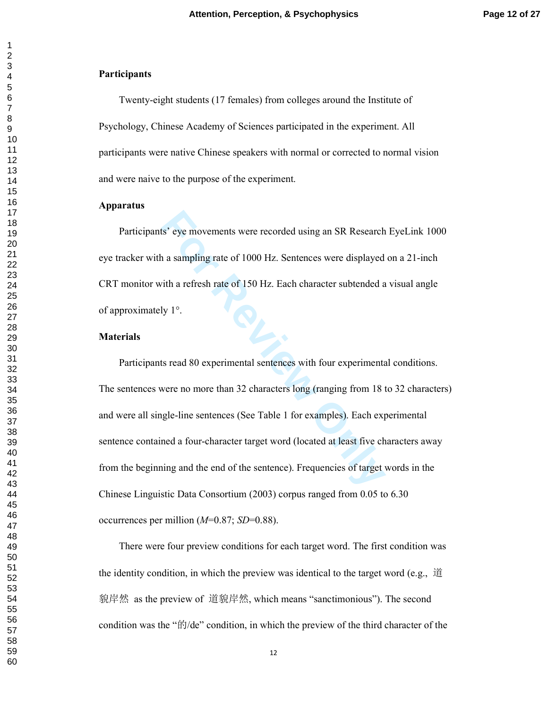## **Participants**

Twenty-eight students (17 females) from colleges around the Institute of Psychology, Chinese Academy of Sciences participated in the experiment. All participants were native Chinese speakers with normal or corrected to normal vision and were naive to the purpose of the experiment.

### **Apparatus**

Participants' eye movements were recorded using an SR Research EyeLink 1000 eye tracker with a sampling rate of 1000 Hz. Sentences were displayed on a 21-inch CRT monitor with a refresh rate of 150 Hz. Each character subtended a visual angle of approximately 1°.

#### **Materials**

Is' eye movements were recorded using an SR Research<br>
1 a sampling rate of 1000 Hz. Sentences were displayed<br>
ith a refresh rate of 150 Hz. Each character subtended a<br>
1y 1°.<br>
Is read 80 experimental sentences with four ex Participants read 80 experimental sentences with four experimental conditions. The sentences were no more than 32 characters long (ranging from 18 to 32 characters) and were all single-line sentences (See Table 1 for examples). Each experimental sentence contained a four-character target word (located at least five characters away from the beginning and the end of the sentence). Frequencies of target words in the Chinese Linguistic Data Consortium (2003) corpus ranged from 0.05 to 6.30 occurrences per million (*M*=0.87; *SD*=0.88).

There were four preview conditions for each target word. The first condition was the identity condition, in which the preview was identical to the target word (e.g., 道 貌岸然 as the preview of 道貌岸然, which means "sanctimonious"). The second condition was the " 的/de" condition, in which the preview of the third character of the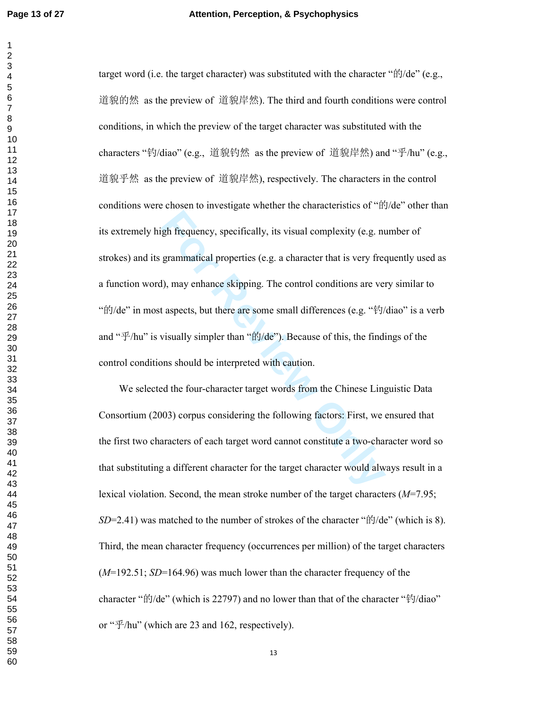gh frequency, specifically, its visual complexity (e.g. no<br>grammatical properties (e.g. a character that is very free<br>(b), may enhance skipping. The control conditions are vert<br>aspects, but there are some small differences target word (i.e. the target character) was substituted with the character "的/de" (e.g., 道貌的然 as the preview of 道貌岸然). The third and fourth conditions were control conditions, in which the preview of the target character was substituted with the characters " 钓/diao" (e.g., 道貌钓然 as the preview of 道貌岸然) and " 乎/hu" (e.g., 道貌乎然 as the preview of 道貌岸然), respectively. The characters in the control conditions were chosen to investigate whether the characteristics of "的/de" other than its extremely high frequency, specifically, its visual complexity (e.g. number of strokes) and its grammatical properties (e.g. a character that is very frequently used as a function word), may enhance skipping. The control conditions are very similar to  $\mathcal{L}$ <br>"的/de" in most aspects, but there are some small differences (e.g. "钓/diao" is a verb and " 乎/hu" is visually simpler than " 的/de"). Because of this, the findings of the control conditions should be interpreted with caution.

We selected the four-character target words from the Chinese Linguistic Data Consortium (2003) corpus considering the following factors: First, we ensured that the first two characters of each target word cannot constitute a two-character word so that substituting a different character for the target character would always result in a lexical violation. Second, the mean stroke number of the target characters (*M*=7.95; *SD*=2.41) was matched to the number of strokes of the character " 的/de" (which is 8). Third, the mean character frequency (occurrences per million) of the target characters (*M*=192.51; *SD*=164.96) was much lower than the character frequency of the character "的/de" (which is 22797) and no lower than that of the character "钓/diao" or " 乎/hu" (which are 23 and 162, respectively).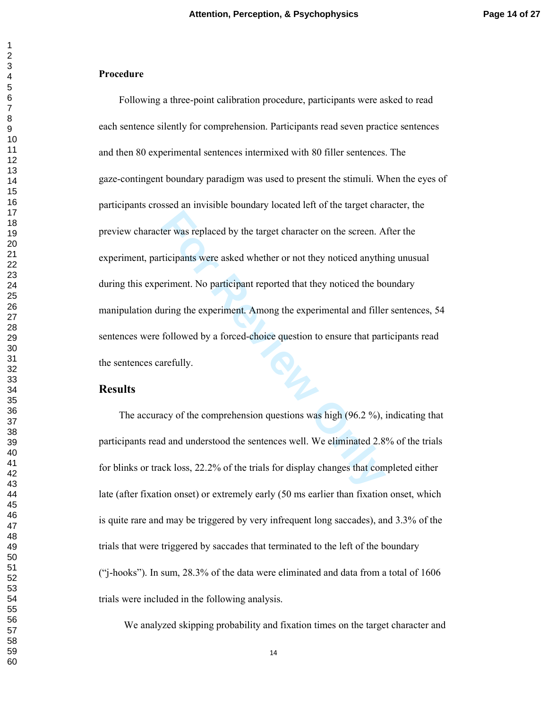## **Procedure**

For was replaced by the target character on the screen. A<br>ticipants were asked whether or not they noticed anythi-<br>Friment. No participant reported that they noticed the bo-<br>uring the experiment. Among the experimental and Following a three-point calibration procedure, participants were asked to read each sentence silently for comprehension. Participants read seven practice sentences and then 80 experimental sentences intermixed with 80 filler sentences. The gaze-contingent boundary paradigm was used to present the stimuli. When the eyes of participants crossed an invisible boundary located left of the target character, the preview character was replaced by the target character on the screen. After the experiment, participants were asked whether or not they noticed anything unusual during this experiment. No participant reported that they noticed the boundary manipulation during the experiment. Among the experimental and filler sentences, 54 sentences were followed by a forced-choice question to ensure that participants read the sentences carefully.

# **Results**

The accuracy of the comprehension questions was high (96.2 %), indicating that participants read and understood the sentences well. We eliminated 2.8% of the trials for blinks or track loss, 22.2% of the trials for display changes that completed either late (after fixation onset) or extremely early (50 ms earlier than fixation onset, which is quite rare and may be triggered by very infrequent long saccades), and 3.3% of the trials that were triggered by saccades that terminated to the left of the boundary ("j-hooks"). In sum, 28.3% of the data were eliminated and data from a total of 1606 trials were included in the following analysis.

We analyzed skipping probability and fixation times on the target character and

 $\mathbf{1}$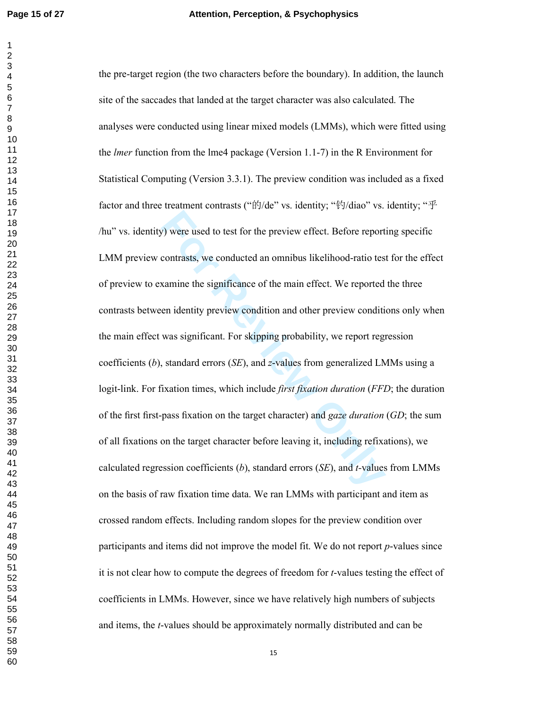**For EX Algorithm** we used to test for the preview effect. Before report contrasts, we conducted an omnibus likelihood-ratio test samine the significance of the main effect. We reported en identity preview condition and o the pre-target region (the two characters before the boundary). In addition, the launch site of the saccades that landed at the target character was also calculated. The analyses were conducted using linear mixed models (LMMs), which were fitted using the *lmer* function from the lme4 package (Version 1.1-7) in the R Environment for Statistical Computing (Version 3.3.1). The preview condition was included as a fixed factor and three treatment contrasts ("的/de" vs. identity; "钓/diao" vs. identity; "乎 /hu" vs. identity) were used to test for the preview effect. Before reporting specific LMM preview contrasts, we conducted an omnibus likelihood-ratio test for the effect of preview to examine the significance of the main effect. We reported the three contrasts between identity preview condition and other preview conditions only when the main effect was significant. For skipping probability, we report regression coefficients ( *b*), standard errors (*SE*), and *z*-values from generalized LMMs using a logit-link. For fixation times, which include *first fixation duration* (*FFD*; the duration of the first first-pass fixation on the target character) and *gaze duration*  (*GD*; the sum of all fixations on the target character before leaving it, including refixations), we calculated regression coefficients ( *b*), standard errors (*SE*), and *t-*values from LMMs on the basis of raw fixation time data. We ran LMMs with participant and item as crossed random effects. Including random slopes for the preview condition over participants and items did not improve the model fit. We do not report *p*-values since it is not clear how to compute the degrees of freedom for *t*-values testing the effect of coefficients in LMMs. However, since we have relatively high numbers of subjects and items, the *t*-values should be approximately normally distributed and can be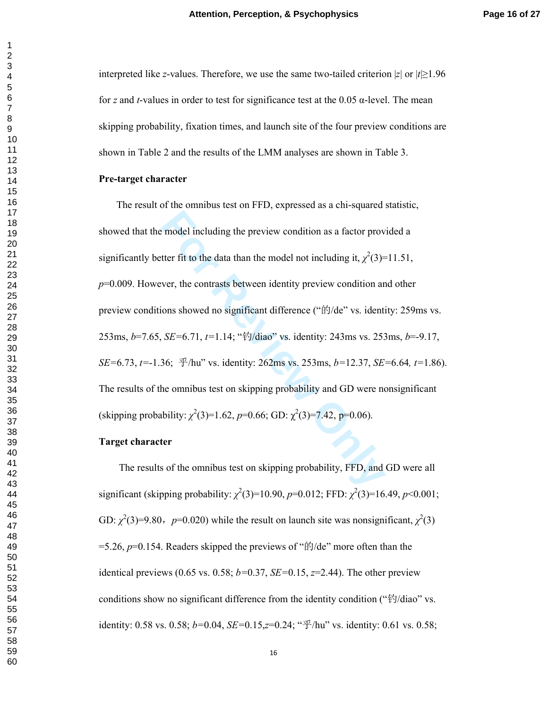interpreted like *z*-values. Therefore, we use the same two-tailed criterion  $|z|$  or  $|t| \ge 1.96$ for *z* and *t*-values in order to test for significance test at the 0.05 α-level. The mean skipping probability, fixation times, and launch site of the four preview conditions are shown in Table 2 and the results of the LMM analyses are shown in Table 3.

#### **Pre-target character**

For model including the preview condition as a factor provent<br>ter fit to the data than the model not including it,  $\chi^2(3)$ =<br>ver, the contrasts between identity preview condition ar<br>ons showed no significant difference ( The result of the omnibus test on FFD, expressed as a chi-squared statistic, showed that the model including the preview condition as a factor provided a significantly better fit to the data than the model not including it,  $\chi^2(3)=11.51$ , *p*=0.009. However, the contrasts between identity preview condition and other preview conditions showed no significant difference ("的/de" vs. identity: 259ms vs. 253ms, *b*=7.65, *SE=*6.71, *t=*1.14; " 钓/diao" vs. identity: 243ms vs. 253ms, *b*=-9.17, *SE=*6.73, *t=*-1.36; 乎/hu" vs. identity: 262ms vs. 253ms, *b=*12.37, *SE=*6.64*, t=*1.86). The results of the omnibus test on skipping probability and GD were nonsignificant (skipping probability:  $\chi^2(3)=1.62$ ,  $p=0.66$ ; GD:  $\chi^2(3)=7.42$ ,  $p=0.06$ ).

#### **Target character**

The results of the omnibus test on skipping probability, FFD, and GD were all significant (skipping probability:  $\chi^2(3)=10.90$ ,  $p=0.012$ ; FFD:  $\chi^2(3)=16.49$ ,  $p<0.001$ ; GD:  $\chi^2(3)=9.80$ ,  $p=0.020$ ) while the result on launch site was nonsignificant,  $\chi^2(3)$ =5.26, *p*=0.154. Readers skipped the previews of " 的/de" more often than the identical previews (0.65 vs. 0.58; *b=*0.37, *SE=*0.15, *z*=2.44). The other preview conditions show no significant difference from the identity condition ("钓/diao" vs. identity: 0.58 vs. 0.58; *b=*0.04, *SE=*0.15, *z*=0.24; " 乎/hu" vs. identity: 0.61 vs. 0.58;

 $\mathbf{1}$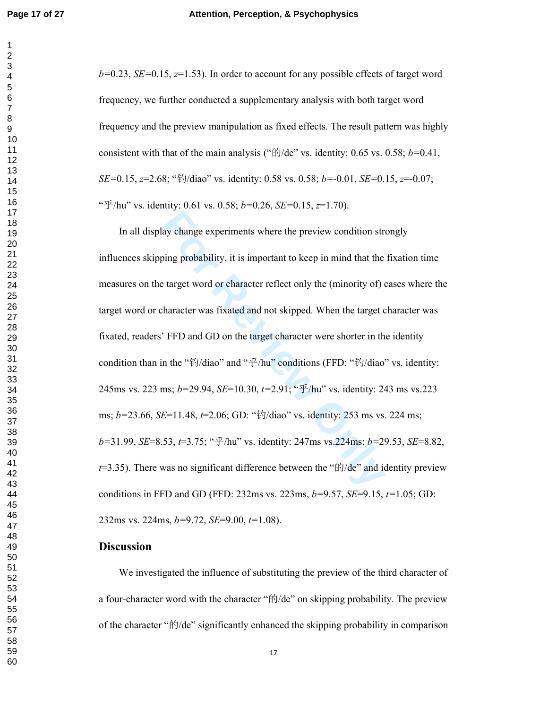*b=*0.23, *SE=*0.15, *z*=1.53). In order to account for any possible effects of target word frequency, we further conducted a supplementary analysis with both target word frequency and the preview manipulation as fixed effects. The result pattern was highly consistent with that of the main analysis (" 的/de" vs. identity: 0.65 vs. 0.58; *b=*0.41, *SE=*0.15, *z*=2.68; " 钓/diao" vs. identity: 0.58 vs. 0.58; *b=*-0.01, *SE=*0.15, *z*=-0.07; " 乎/hu" vs. identity: 0.61 vs. 0.58; *b=*0.26, *SE=*0.15, *z*=1.70).

lay change experiments where the preview condition strong<br>ping probability, it is important to keep in mind that the<br>target word or character reflect only the (minority of) of<br>character was fixated and not skipped. When t In all display change experiments where the preview condition strongly influences skipping probability, it is important to keep in mind that the fixation time measures on the target word or character reflect only the (minority of) cases where the target word or character was fixated and not skipped. When the target character was fixated, readers' FFD and GD on the target character were shorter in the identity condition than in the "钓/diao" and "乎/hu" conditions (FFD: "钓/diao" vs. identity: 245ms vs. 223 ms; *b=*29.94, *SE*=10.30, *t=*2.91; " 乎/hu" vs. identity: 243 ms vs.223 ms; *b=*23.66, *SE*=11.48, *t*=2.06; GD: " 钓/diao" vs. identity: 253 ms vs. 224 ms; *b=*31.99, *SE*=8.53, *t*=3.75; " 乎/hu" vs. identity: 247ms vs.224ms; *b=*29.53, *SE*=8.82,  $t=3.35$ ). There was no significant difference between the " $\text{f}t$ /de" and identity preview conditions in FFD and GD (FFD: 232ms vs. 223ms, *b=*9.57, *SE*=9.15, *t=*1.05; GD: 232ms vs. 224ms, *b=*9.72, *SE*=9.00, *t=*1.08).

# **Discussion**

We investigated the influence of substituting the preview of the third character of a four-character word with the character " 的/de" on skipping probability. The preview of the character "的/de" significantly enhanced the skipping probability in comparison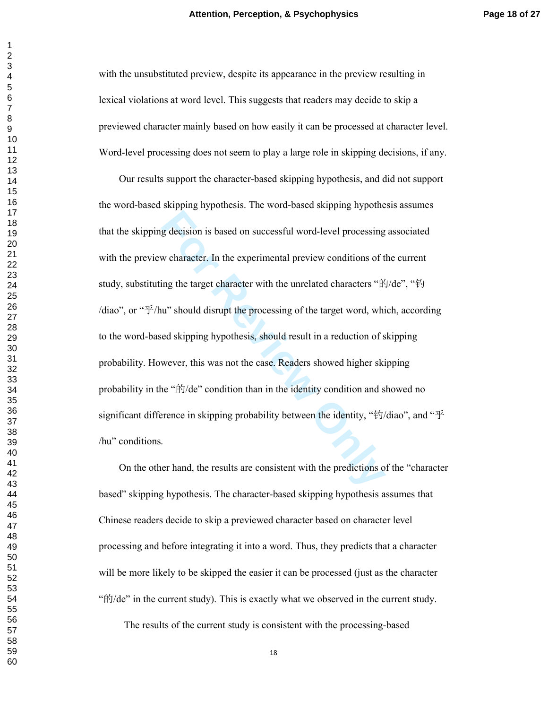with the unsubstituted preview, despite its appearance in the preview resulting in lexical violations at word level. This suggests that readers may decide to skip a previewed character mainly based on how easily it can be processed at character level. Word-level processing does not seem to play a large role in skipping decisions, if any.

**Example 18** decision is based on successful word-level processing<br>
w character. In the experimental preview conditions of t<br>
ing the target character with the unrelated characters "ft"<br>
in" should disrupt the processing o Our results support the character-based skipping hypothesis, and did not support the word-based skipping hypothesis. The word-based skipping hypothesis assumes that the skipping decision is based on successful word-level processing associated with the preview character. In the experimental preview conditions of the current study, substituting the target character with the unrelated characters "的/de", "钓 /diao", or " 乎/hu" should disrupt the processing of the target word, which, according to the word-based skipping hypothesis, should result in a reduction of skipping probability. However, this was not the case. Readers showed higher skipping probability in the "的/de" condition than in the identity condition and showed no significant difference in skipping probability between the identity, "钓/diao", and "乎 /hu" conditions.

On the other hand, the results are consistent with the predictions of the "character based" skipping hypothesis. The character-based skipping hypothesis assumes that Chinese readers decide to skip a previewed character based on character level processing and before integrating it into a word. Thus, they predicts that a character will be more likely to be skipped the easier it can be processed (just as the character " $\frac{d\hat{y}}{dt}$ " in the current study. This is exactly what we observed in the current study.

The results of the current study is consistent with the processing-based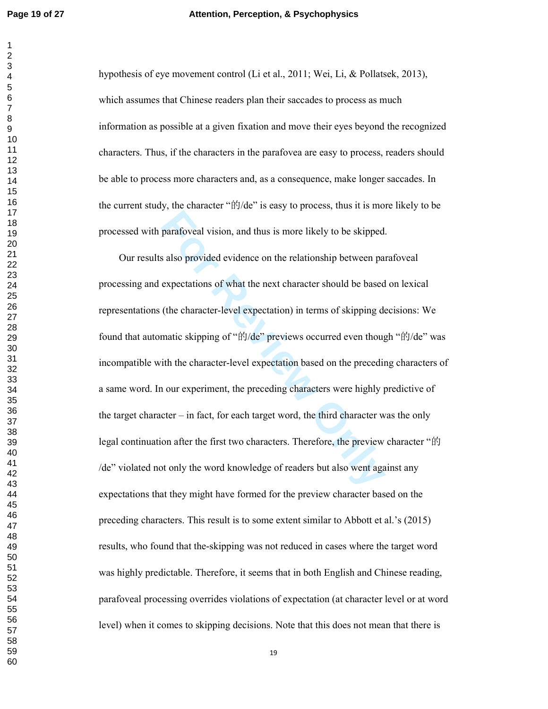#### **Page 19 of 27 Attention, Perception, & Psychophysics**

hypothesis of eye movement control (Li et al., 2011; Wei, Li, & Pollatsek, 2013), which assumes that Chinese readers plan their saccades to process as much information as possible at a given fixation and move their eyes beyond the recognized characters. Thus, if the characters in the parafovea are easy to process, readers should be able to process more characters and, as a consequence, make longer saccades. In the current study, the character " 的/de" is easy to process, thus it is more likely to be processed with parafoveal vision, and thus is more likely to be skipped.

parafoveal vision, and thus is more likely to be skipped.<br>
s also provided evidence on the relationship between paraceprectations of what the next character should be based<br>
(the character-level expectation) in terms of sk Our results also provided evidence on the relationship between parafoveal processing and expectations of what the next character should be based on lexical representations (the character-level expectation) in terms of skipping decisions: We found that automatic skipping of "的/de" previews occurred even though "的/de" was incompatible with the character-level expectation based on the preceding characters of a same word. In our experiment, the preceding characters were highly predictive of the target character – in fact, for each target word, the third character was the only legal continuation after the first two characters. Therefore, the preview character " 的 /de" violated not only the word knowledge of readers but also went against any expectations that they might have formed for the preview character based on the preceding characters. This result is to some extent similar to Abbott et al.'s (2015) results, who found that the-skipping was not reduced in cases where the target word was highly predictable. Therefore, it seems that in both English and Chinese reading, parafoveal processing overrides violations of expectation (at character level or at word level) when it comes to skipping decisions. Note that this does not mean that there is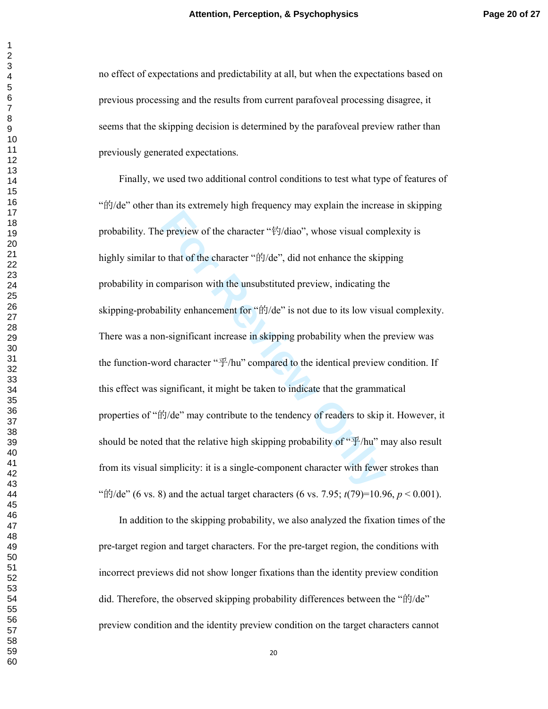no effect of expectations and predictability at all, but when the expectations based on previous processing and the results from current parafoveal processing disagree, it seems that the skipping decision is determined by the parafoveal preview rather than previously generated expectations.

**Example 18** provide the character " $\frac{k}{2}$ /diao", whose visual comportant of the character " $\frac{k}{2}$ /de", did not enhance the skip omparison with the unsubstituted preview, indicating the bility enhancement for " $\frac{k}{2}$ Finally, we used two additional control conditions to test what type of features of " 的/de" other than its extremely high frequency may explain the increase in skipping probability. The preview of the character " 钓/diao", whose visual complexity is highly similar to that of the character " 的/de", did not enhance the skipping probability in comparison with the unsubstituted preview, indicating the skipping-probability enhancement for "的/de" is not due to its low visual complexity. There was a non-significant increase in skipping probability when the preview was the function-word character " $\mathcal{F}/\mathsf{hu}$ " compared to the identical preview condition. If this effect was significant, it might be taken to indicate that the grammatical properties of " 的/de" may contribute to the tendency of readers to skip it. However, it should be noted that the relative high skipping probability of " $\mathcal{F}/\mathsf{hu}$ " may also result from its visual simplicity: it is a single-component character with fewer strokes than " $\frac{d\hat{f}}{dr}$ ' (6 vs. 8) and the actual target characters (6 vs. 7.95; *t*(79)=10.96, *p* < 0.001).

In addition to the skipping probability, we also analyzed the fixation times of the pre-target region and target characters. For the pre-target region, the conditions with incorrect previews did not show longer fixations than the identity preview condition did. Therefore, the observed skipping probability differences between the " 的/de" preview condition and the identity preview condition on the target characters cannot

 $\mathbf{1}$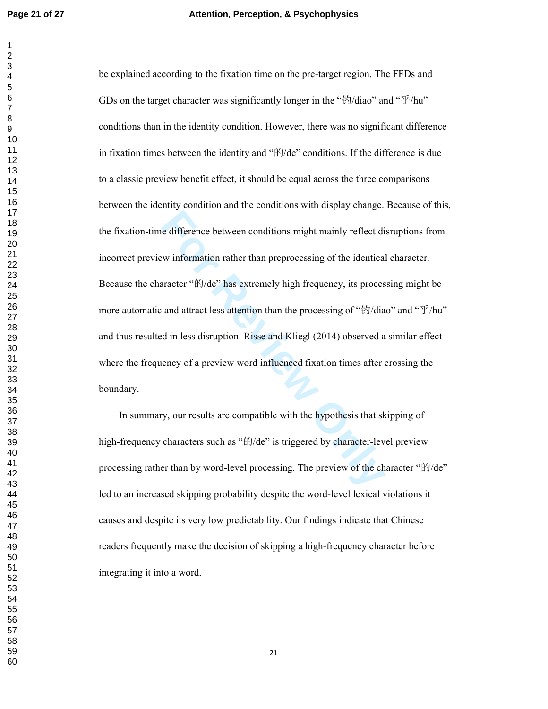e difference between conditions might mainly reflect die<br>
winformation rather than preprocessing of the identical<br>
aracter "ffy/de" has extremely high frequency, its proces<br>
and attract less attention than the processing o be explained according to the fixation time on the pre-target region. The FFDs and GDs on the target character was significantly longer in the " $\frac{4}{3}$ /diao" and " $\frac{4}{3}$ /hu" conditions than in the identity condition. However, there was no significant difference in fixation times between the identity and " 的/de" conditions. If the difference is due to a classic preview benefit effect, it should be equal across the three comparisons between the identity condition and the conditions with display change. Because of this, the fixation-time difference between conditions might mainly reflect disruptions from incorrect preview information rather than preprocessing of the identical character. Because the character " 的/de" has extremely high frequency, its processing might be more automatic and attract less attention than the processing of "钓/diao" and "乎/hu" and thus resulted in less disruption. Risse and Kliegl (2014) observed a similar effect where the frequency of a preview word influenced fixation times after crossing the boundary.

In summary, our results are compatible with the hypothesis that skipping of high-frequency characters such as "的/de" is triggered by character-level preview processing rather than by word-level processing. The preview of the character "的/de" led to an increased skipping probability despite the word-level lexical violations it causes and despite its very low predictability. Our findings indicate that Chinese readers frequently make the decision of skipping a high-frequency character before integrating it into a word.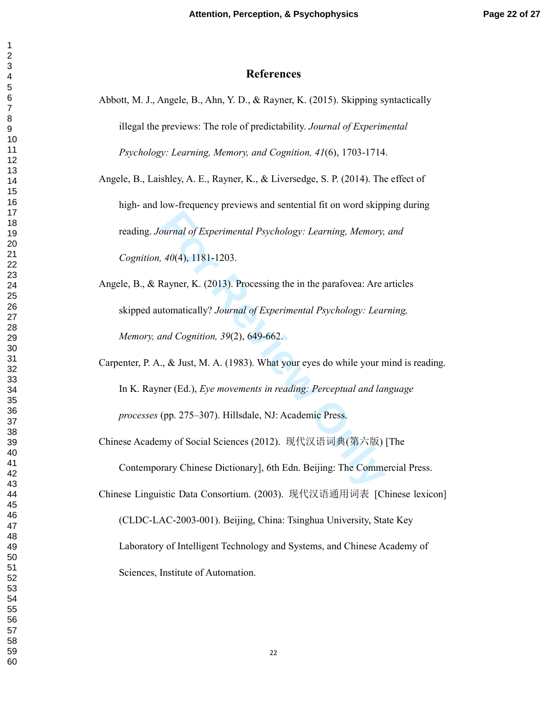# **References**

Abbott, M. J., Angele, B., Ahn, Y. D., & Rayner, K. (2015). Skipping syntactically illegal the previews: The role of predictability. *Journal of Experimental Psychology: Learning, Memory, and Cognition, 41*(6), 1703-1714.

Angele, B., Laishley, A. E., Rayner, K., & Liversedge, S. P. (2014). The effect of high- and low-frequency previews and sentential fit on word skipping during reading. *Journal of Experimental Psychology: Learning, Memory, and Cognition, 40*(4), 1181-1203.

- **Formular of Experimental Psychology: Learning, Memory,**<br> **Formular Additionally**? Journal of Experimental Psychology: Learn<br> **Experimental Psychology: Learn and Cognition, 39(2), 649-662.**<br> **Formular Addition, 39(2), 649** Angele, B., & Rayner, K. (2013). Processing the in the parafovea: Are articles skipped automatically? *Journal of Experimental Psychology: Learning, Memory, and Cognition, 39*(2), 649-662.
- Carpenter, P. A., & Just, M. A. (1983). What your eyes do while your mind is reading. In K. Rayner (Ed.), *Eye movements in reading: Perceptual and language processes* (pp. 275–307). Hillsdale, NJ: Academic Press.

Chinese Academy of Social Sciences (2012). 现代汉语词典 (第六版) [The

Contemporary Chinese Dictionary], 6th Edn. Beijing: The Commercial Press.

Chinese Linguistic Data Consortium. (2003). 现代汉语通用词表 [Chinese lexicon] (CLDC-LAC-2003-001). Beijing, China: Tsinghua University, State Key Laboratory of Intelligent Technology and Systems, and Chinese Academy of Sciences, Institute of Automation.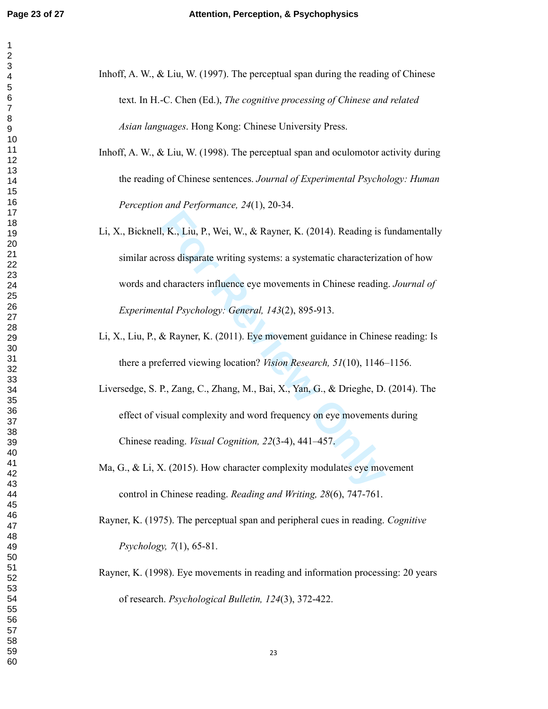- Inhoff, A. W., & Liu, W. (1997). The perceptual span during the reading of Chinese text. In H.-C. Chen (Ed.), *The cognitive processing of Chinese and related Asian languages*. Hong Kong: Chinese University Press.
- Inhoff, A. W., & Liu, W. (1998). The perceptual span and oculomotor activity during the reading of Chinese sentences. *Journal of Experimental Psychology: Human Perception and Performance, 24*(1), 20-34.
- **Formular Solution**, K. (2014). Reading is 1<br>
For Review Costs disparate writing systems: a systematic characteriza<br>
characters influence eye movements in Chinese reading<br>
tal Psychology: General, 143(2), 895-913.<br>
& Rayne Li, X., Bicknell, K., Liu, P., Wei, W., & Rayner, K. (2014). Reading is fundamentally similar across disparate writing systems: a systematic characterization of how words and characters influence eye movements in Chinese reading. *Journal of Experimental Psychology: General, 143*(2), 895-913.
- Li, X., Liu, P., & Rayner, K. (2011). Eye movement guidance in Chinese reading: Is there a preferred viewing location? *Vision Research, 51*(10), 1146–1156.
- Liversedge, S. P., Zang, C., Zhang, M., Bai, X., Yan, G., & Drieghe, D. (2014). The effect of visual complexity and word frequency on eye movements during Chinese reading. *Visual Cognition, 22*(3-4), 441–457.
- Ma, G., & Li, X. (2015). How character complexity modulates eye movement control in Chinese reading. *Reading and Writing, 28*(6), 747-761.

Rayner, K. (1975). The perceptual span and peripheral cues in reading. *Cognitive Psychology, 7*(1), 65-81.

Rayner, K. (1998). Eye movements in reading and information processing: 20 years of research. *Psychological Bulletin, 124*(3), 372-422.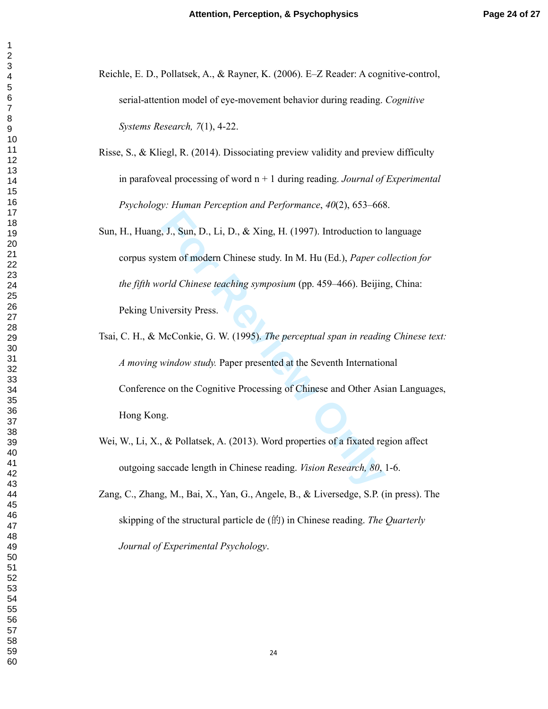- Reichle, E. D., Pollatsek, A., & Rayner, K. (2006). E–Z Reader: A cognitive-control, serial-attention model of eye-movement behavior during reading. *Cognitive Systems Research, 7*(1), 4-22.
- Risse, S., & Kliegl, R. (2014). Dissociating preview validity and preview difficulty in parafoveal processing of word n + 1 during reading. *Journal of Experimental Psychology: Human Perception and Performance*, *40*(2), 653–668.
- **For Review A. Sun, D., Li, D., & Xing, H. (1997). Introduction to tem of modern Chinese study. In M. Hu (Ed.),** *Paper co***<br>** *For Review Orld Chinese teaching symposium* **(pp. 459–466). Beijin<br>
iversity Press.<br>
McConkie, G.** Sun, H., Huang, J., Sun, D., Li, D., & Xing, H. (1997). Introduction to language corpus system of modern Chinese study. In M. Hu (Ed.), *Paper collection for the fifth world Chinese teaching symposium* (pp. 459–466). Beijing, China: Peking University Press.
- Tsai, C. H., & McConkie, G. W. (1995). *The perceptual span in reading Chinese text: A moving window study.* Paper presented at the Seventh International Conference on the Cognitive Processing of Chinese and Other Asian Languages, Hong Kong.
- Wei, W., Li, X., & Pollatsek, A. (2013). Word properties of a fixated region affect outgoing saccade length in Chinese reading. *Vision Research, 80*, 1-6.
- Zang, C., Zhang, M., Bai, X., Yan, G., Angele, B., & Liversedge, S.P. (in press). The skipping of the structural particle de ( 的) in Chinese reading. *The Quarterly Journal of Experimental Psychology* .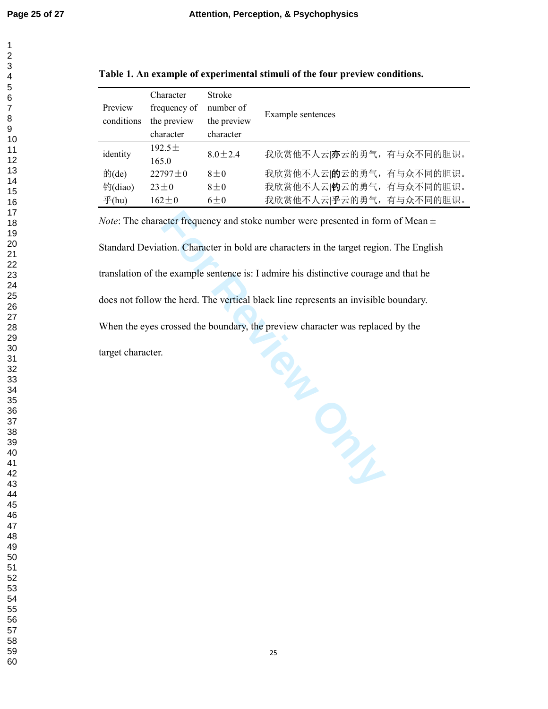$\overline{1}$ 

| 1                             |
|-------------------------------|
| $\overline{2}$                |
|                               |
|                               |
|                               |
|                               |
|                               |
|                               |
|                               |
|                               |
|                               |
|                               |
|                               |
|                               |
|                               |
|                               |
|                               |
|                               |
|                               |
|                               |
|                               |
|                               |
|                               |
|                               |
|                               |
|                               |
|                               |
|                               |
|                               |
|                               |
|                               |
|                               |
|                               |
|                               |
|                               |
|                               |
|                               |
|                               |
|                               |
|                               |
|                               |
|                               |
|                               |
|                               |
| 40                            |
| 41                            |
| 4                             |
| $\overline{4}$                |
| Ś                             |
| 44                            |
| 45                            |
| 46                            |
| 47                            |
| 48<br>$\overline{\mathbf{3}}$ |
| 49                            |
| 50                            |
|                               |
| 51                            |
| 52                            |
| E<br>$\overline{\mathbf{3}}$  |
| 54                            |
| 55                            |
| 56                            |
| 57                            |
| 58                            |
|                               |

59 60

| Table 1. An example of experimental stimuli of the four preview conditions. |  |  |
|-----------------------------------------------------------------------------|--|--|
|                                                                             |  |  |

|                    | Character     | <b>Stroke</b> |                          |  |  |  |  |  |
|--------------------|---------------|---------------|--------------------------|--|--|--|--|--|
| Preview            | frequency of  | number of     | Example sentences        |  |  |  |  |  |
| conditions         | the preview   | the preview   |                          |  |  |  |  |  |
|                    | character     | character     |                          |  |  |  |  |  |
| identity           | 192.5 $\pm$   | $8.0 \pm 2.4$ | 我欣赏他不人云 亦云的勇气, 有与众不同的胆识。 |  |  |  |  |  |
|                    | 165.0         |               |                          |  |  |  |  |  |
| 的 $(de)$           | $22797 \pm 0$ | $8 + 0$       | 我欣赏他不人云 的云的勇气,有与众不同的胆识。  |  |  |  |  |  |
| 钓(diao)            | $23+0$        | $8\pm0$       | 我欣赏他不人云 钓云的勇气, 有与众不同的胆识。 |  |  |  |  |  |
| $\mathcal{F}$ (hu) | $162 + 0$     | $6\pm0$       | 我欣赏他不人云 乎云的勇气, 有与众不同的胆识。 |  |  |  |  |  |

*Note*: The character frequency and stoke number were presented in form of Mean  $\pm$ 

Standard Deviation. Character in bold are characters in the target region. The English

translation of the example sentence is: I admire his distinctive courage and that he

does not follow the herd. The vertical black line represents an invisible boundary.

When the eyes crossed the boundary, the preview character was replaced by the

target character.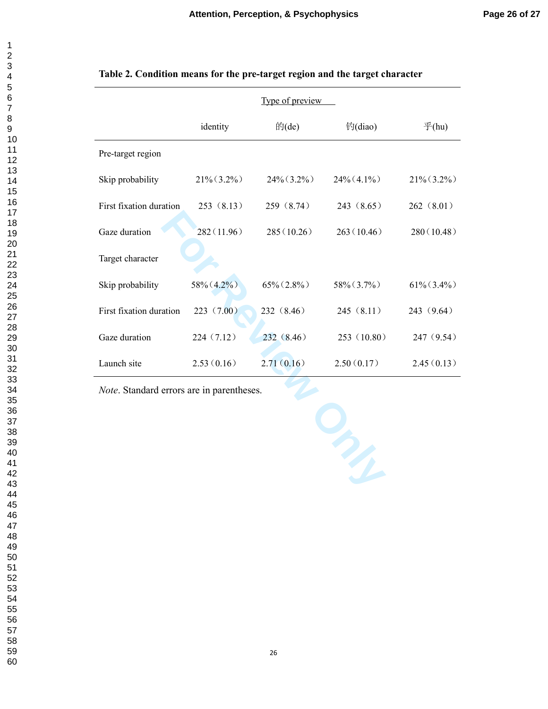| 1                    |
|----------------------|
| $\overline{c}$       |
|                      |
|                      |
|                      |
|                      |
|                      |
|                      |
|                      |
|                      |
|                      |
|                      |
|                      |
|                      |
|                      |
|                      |
|                      |
|                      |
|                      |
|                      |
|                      |
|                      |
|                      |
|                      |
|                      |
|                      |
|                      |
|                      |
|                      |
|                      |
|                      |
|                      |
|                      |
|                      |
|                      |
|                      |
|                      |
|                      |
|                      |
|                      |
|                      |
|                      |
| 40                   |
| 41                   |
| 42                   |
| $\overline{4}$<br>\$ |
| 44                   |
|                      |
| 45                   |
| 46                   |
| 47                   |
| 48                   |
| 49                   |
| 50                   |
| $\mathbf{51}$<br>Į   |
| 52                   |
| 53<br>3              |
| 54                   |
| 55                   |
|                      |
| 56                   |
| 57                   |
| .<br>58              |

59 60

| Table 2. Condition means for the pre-target region and the target character |  |
|-----------------------------------------------------------------------------|--|
|-----------------------------------------------------------------------------|--|

|                         |               | Type of preview |                |                    |
|-------------------------|---------------|-----------------|----------------|--------------------|
|                         | identity      | 的(de)           | 钓(diao)        | $\mathcal{F}$ (hu) |
| Pre-target region       |               |                 |                |                    |
| Skip probability        | $21\%$ (3.2%) | $24\% (3.2\%)$  | $24\%$ (4 1\%) | $21\%$ (3.2%)      |
| First fixation duration | 253(8.13)     | 259 (8.74)      | 243(8.65)      | 262(8.01)          |
| Gaze duration           | 282(11.96)    | 285(10.26)      | 263(10.46)     | 280(10.48)         |
| Target character        |               |                 |                |                    |
| Skip probability        | 58% (4.2%)    | $65\% (2.8\%)$  | $58\% (3.7\%)$ | $61\%$ (3.4%)      |
| First fixation duration | 223(7.00)     | 232 (8.46)      | 245(8.11)      | 243 (9.64)         |
| Gaze duration           | 224 (7.12)    | 232(8.46)       | 253(10.80)     | 247 (9.54)         |
| Launch site             | 2.53(0.16)    | 2.71(0.16)      | 2.50(0.17)     | 2.45(0.13)         |

*Note*. Standard errors are in parentheses.